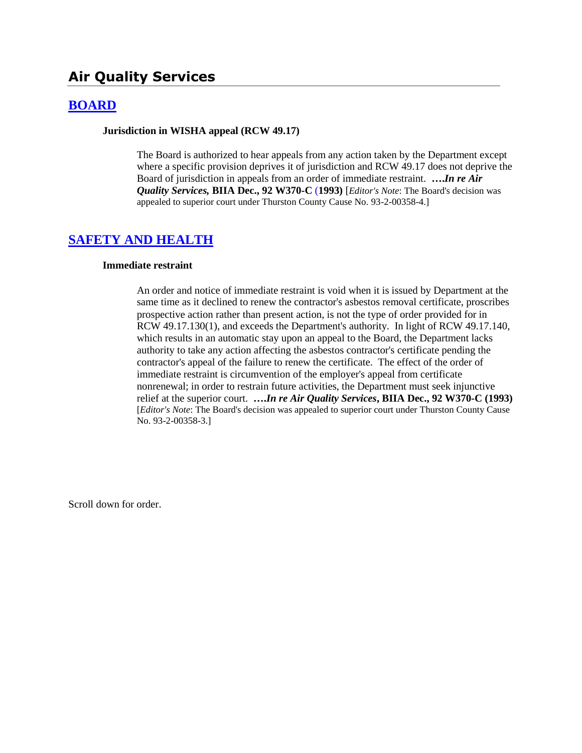# **Air Quality Services**

### **[BOARD](http://www.biia.wa.gov/SDSubjectIndex.html#BOARD)**

#### **Jurisdiction in WISHA appeal (RCW 49.17)**

The Board is authorized to hear appeals from any action taken by the Department except where a specific provision deprives it of jurisdiction and RCW 49.17 does not deprive the Board of jurisdiction in appeals from an order of immediate restraint. **….***In re Air Quality Services,* **BIIA Dec., 92 W370-C** (**1993)** [*Editor's Note*: The Board's decision was appealed to superior court under Thurston County Cause No. 93-2-00358-4.]

#### **[SAFETY AND HEALTH](http://www.biia.wa.gov/SDSubjectIndex.html#SAFETY_AND_HEALTH)**

#### **Immediate restraint**

An order and notice of immediate restraint is void when it is issued by Department at the same time as it declined to renew the contractor's asbestos removal certificate, proscribes prospective action rather than present action, is not the type of order provided for in RCW 49.17.130(1), and exceeds the Department's authority. In light of RCW 49.17.140, which results in an automatic stay upon an appeal to the Board, the Department lacks authority to take any action affecting the asbestos contractor's certificate pending the contractor's appeal of the failure to renew the certificate. The effect of the order of immediate restraint is circumvention of the employer's appeal from certificate nonrenewal; in order to restrain future activities, the Department must seek injunctive relief at the superior court. **….***In re Air Quality Services***, BIIA Dec., 92 W370-C (1993)** [*Editor's Note*: The Board's decision was appealed to superior court under Thurston County Cause No. 93-2-00358-3.]

Scroll down for order.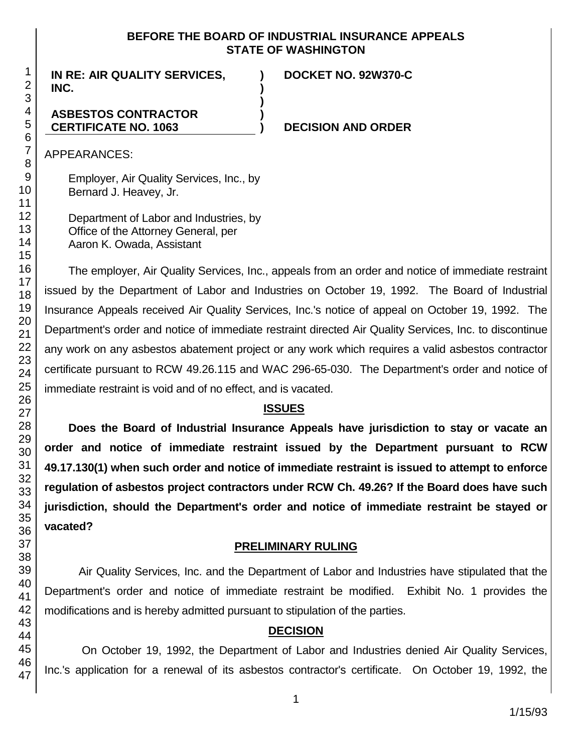#### **BEFORE THE BOARD OF INDUSTRIAL INSURANCE APPEALS STATE OF WASHINGTON**

**) )**

**)**

**)**

**IN RE: AIR QUALITY SERVICES, INC.**

### **DOCKET NO. 92W370-C**

### **ASBESTOS CONTRACTOR CERTIFICATE NO. 1063**

#### **) DECISION AND ORDER**

APPEARANCES:

Employer, Air Quality Services, Inc., by Bernard J. Heavey, Jr.

Department of Labor and Industries, by Office of the Attorney General, per Aaron K. Owada, Assistant

The employer, Air Quality Services, Inc., appeals from an order and notice of immediate restraint issued by the Department of Labor and Industries on October 19, 1992. The Board of Industrial Insurance Appeals received Air Quality Services, Inc.'s notice of appeal on October 19, 1992. The Department's order and notice of immediate restraint directed Air Quality Services, Inc. to discontinue any work on any asbestos abatement project or any work which requires a valid asbestos contractor certificate pursuant to RCW 49.26.115 and WAC 296-65-030. The Department's order and notice of immediate restraint is void and of no effect, and is vacated.

## **ISSUES**

**Does the Board of Industrial Insurance Appeals have jurisdiction to stay or vacate an order and notice of immediate restraint issued by the Department pursuant to RCW 49.17.130(1) when such order and notice of immediate restraint is issued to attempt to enforce regulation of asbestos project contractors under RCW Ch. 49.26? If the Board does have such jurisdiction, should the Department's order and notice of immediate restraint be stayed or vacated?**

#### **PRELIMINARY RULING**

Air Quality Services, Inc. and the Department of Labor and Industries have stipulated that the Department's order and notice of immediate restraint be modified. Exhibit No. 1 provides the modifications and is hereby admitted pursuant to stipulation of the parties.

# **DECISION**

On October 19, 1992, the Department of Labor and Industries denied Air Quality Services, Inc.'s application for a renewal of its asbestos contractor's certificate. On October 19, 1992, the

1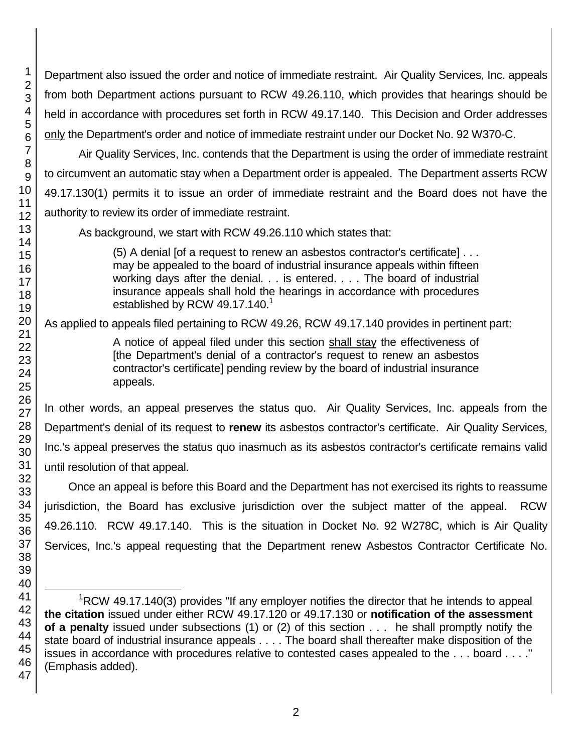Department also issued the order and notice of immediate restraint. Air Quality Services, Inc. appeals from both Department actions pursuant to RCW 49.26.110, which provides that hearings should be held in accordance with procedures set forth in RCW 49.17.140. This Decision and Order addresses only the Department's order and notice of immediate restraint under our Docket No. 92 W370-C.

Air Quality Services, Inc. contends that the Department is using the order of immediate restraint to circumvent an automatic stay when a Department order is appealed. The Department asserts RCW 49.17.130(1) permits it to issue an order of immediate restraint and the Board does not have the authority to review its order of immediate restraint.

As background, we start with RCW 49.26.110 which states that:

(5) A denial [of a request to renew an asbestos contractor's certificate] . . . may be appealed to the board of industrial insurance appeals within fifteen working days after the denial. . . is entered. . . . The board of industrial insurance appeals shall hold the hearings in accordance with procedures established by RCW 49.17.140. $<sup>1</sup>$ </sup>

As applied to appeals filed pertaining to RCW 49.26, RCW 49.17.140 provides in pertinent part:

A notice of appeal filed under this section shall stay the effectiveness of [the Department's denial of a contractor's request to renew an asbestos contractor's certificate] pending review by the board of industrial insurance appeals.

In other words, an appeal preserves the status quo. Air Quality Services, Inc. appeals from the Department's denial of its request to **renew** its asbestos contractor's certificate. Air Quality Services, Inc.'s appeal preserves the status quo inasmuch as its asbestos contractor's certificate remains valid until resolution of that appeal.

Once an appeal is before this Board and the Department has not exercised its rights to reassume jurisdiction, the Board has exclusive jurisdiction over the subject matter of the appeal. RCW 49.26.110. RCW 49.17.140. This is the situation in Docket No. 92 W278C, which is Air Quality Services, Inc.'s appeal requesting that the Department renew Asbestos Contractor Certificate No.

1

l  ${}^{1}$ RCW 49.17.140(3) provides "If any employer notifies the director that he intends to appeal **the citation** issued under either RCW 49.17.120 or 49.17.130 or **notification of the assessment of a penalty** issued under subsections (1) or (2) of this section . . . he shall promptly notify the state board of industrial insurance appeals . . . . The board shall thereafter make disposition of the issues in accordance with procedures relative to contested cases appealed to the . . . board . . . ." (Emphasis added).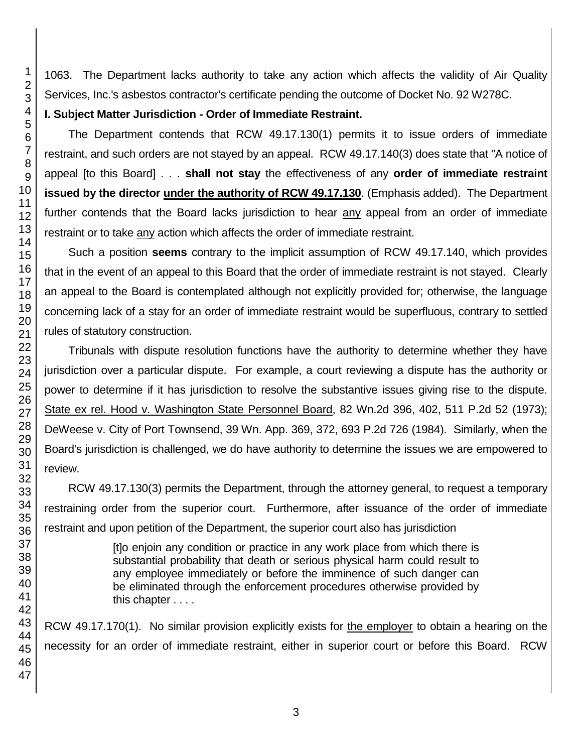1063. The Department lacks authority to take any action which affects the validity of Air Quality Services, Inc.'s asbestos contractor's certificate pending the outcome of Docket No. 92 W278C.

# **I. Subject Matter Jurisdiction - Order of Immediate Restraint.**

The Department contends that RCW 49.17.130(1) permits it to issue orders of immediate restraint, and such orders are not stayed by an appeal. RCW 49.17.140(3) does state that "A notice of appeal [to this Board] . . . **shall not stay** the effectiveness of any **order of immediate restraint issued by the director under the authority of RCW 49.17.130**. (Emphasis added). The Department further contends that the Board lacks jurisdiction to hear any appeal from an order of immediate restraint or to take any action which affects the order of immediate restraint.

Such a position **seems** contrary to the implicit assumption of RCW 49.17.140, which provides that in the event of an appeal to this Board that the order of immediate restraint is not stayed. Clearly an appeal to the Board is contemplated although not explicitly provided for; otherwise, the language concerning lack of a stay for an order of immediate restraint would be superfluous, contrary to settled rules of statutory construction.

Tribunals with dispute resolution functions have the authority to determine whether they have jurisdiction over a particular dispute. For example, a court reviewing a dispute has the authority or power to determine if it has jurisdiction to resolve the substantive issues giving rise to the dispute. State ex rel. Hood v. Washington State Personnel Board, 82 Wn.2d 396, 402, 511 P.2d 52 (1973); DeWeese v. City of Port Townsend, 39 Wn. App. 369, 372, 693 P.2d 726 (1984). Similarly, when the Board's jurisdiction is challenged, we do have authority to determine the issues we are empowered to review.

RCW 49.17.130(3) permits the Department, through the attorney general, to request a temporary restraining order from the superior court. Furthermore, after issuance of the order of immediate restraint and upon petition of the Department, the superior court also has jurisdiction

> [t]o enjoin any condition or practice in any work place from which there is substantial probability that death or serious physical harm could result to any employee immediately or before the imminence of such danger can be eliminated through the enforcement procedures otherwise provided by this chapter . . . .

RCW 49.17.170(1). No similar provision explicitly exists for the employer to obtain a hearing on the necessity for an order of immediate restraint, either in superior court or before this Board. RCW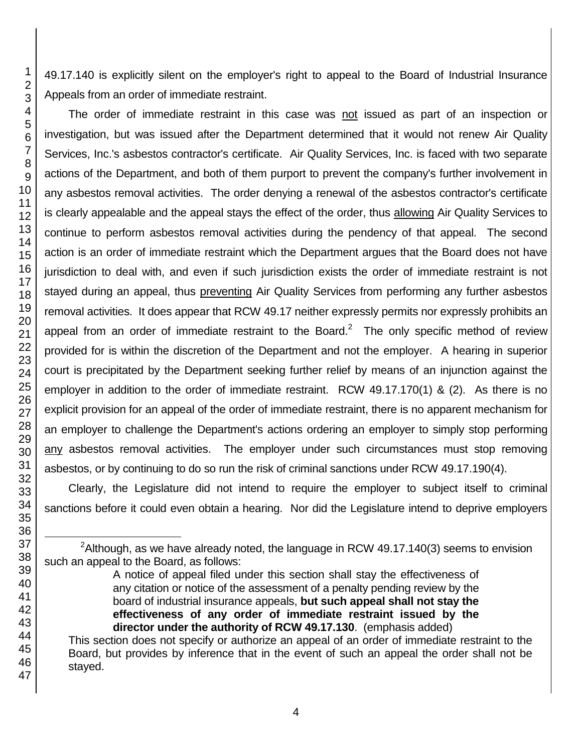49.17.140 is explicitly silent on the employer's right to appeal to the Board of Industrial Insurance Appeals from an order of immediate restraint.

The order of immediate restraint in this case was not issued as part of an inspection or investigation, but was issued after the Department determined that it would not renew Air Quality Services, Inc.'s asbestos contractor's certificate. Air Quality Services, Inc. is faced with two separate actions of the Department, and both of them purport to prevent the company's further involvement in any asbestos removal activities. The order denying a renewal of the asbestos contractor's certificate is clearly appealable and the appeal stays the effect of the order, thus allowing Air Quality Services to continue to perform asbestos removal activities during the pendency of that appeal. The second action is an order of immediate restraint which the Department argues that the Board does not have jurisdiction to deal with, and even if such jurisdiction exists the order of immediate restraint is not stayed during an appeal, thus preventing Air Quality Services from performing any further asbestos removal activities. It does appear that RCW 49.17 neither expressly permits nor expressly prohibits an appeal from an order of immediate restraint to the Board.<sup>2</sup> The only specific method of review provided for is within the discretion of the Department and not the employer. A hearing in superior court is precipitated by the Department seeking further relief by means of an injunction against the employer in addition to the order of immediate restraint. RCW 49.17.170(1) & (2). As there is no explicit provision for an appeal of the order of immediate restraint, there is no apparent mechanism for an employer to challenge the Department's actions ordering an employer to simply stop performing any asbestos removal activities. The employer under such circumstances must stop removing asbestos, or by continuing to do so run the risk of criminal sanctions under RCW 49.17.190(4).

Clearly, the Legislature did not intend to require the employer to subject itself to criminal sanctions before it could even obtain a hearing. Nor did the Legislature intend to deprive employers

 $2$ Although, as we have already noted, the language in RCW 49.17.140(3) seems to envision such an appeal to the Board, as follows:

l

A notice of appeal filed under this section shall stay the effectiveness of any citation or notice of the assessment of a penalty pending review by the board of industrial insurance appeals, **but such appeal shall not stay the effectiveness of any order of immediate restraint issued by the director under the authority of RCW 49.17.130**. (emphasis added)

This section does not specify or authorize an appeal of an order of immediate restraint to the Board, but provides by inference that in the event of such an appeal the order shall not be stayed.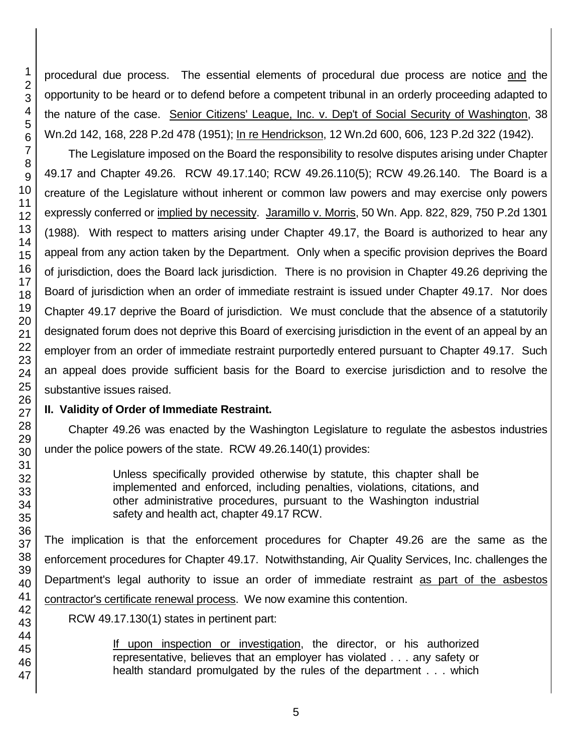procedural due process. The essential elements of procedural due process are notice and the opportunity to be heard or to defend before a competent tribunal in an orderly proceeding adapted to the nature of the case. Senior Citizens' League, Inc. v. Dep't of Social Security of Washington, 38 Wn.2d 142, 168, 228 P.2d 478 (1951); In re Hendrickson, 12 Wn.2d 600, 606, 123 P.2d 322 (1942).

The Legislature imposed on the Board the responsibility to resolve disputes arising under Chapter 49.17 and Chapter 49.26. RCW 49.17.140; RCW 49.26.110(5); RCW 49.26.140. The Board is a creature of the Legislature without inherent or common law powers and may exercise only powers expressly conferred or implied by necessity. Jaramillo v. Morris, 50 Wn. App. 822, 829, 750 P.2d 1301 (1988). With respect to matters arising under Chapter 49.17, the Board is authorized to hear any appeal from any action taken by the Department. Only when a specific provision deprives the Board of jurisdiction, does the Board lack jurisdiction. There is no provision in Chapter 49.26 depriving the Board of jurisdiction when an order of immediate restraint is issued under Chapter 49.17. Nor does Chapter 49.17 deprive the Board of jurisdiction. We must conclude that the absence of a statutorily designated forum does not deprive this Board of exercising jurisdiction in the event of an appeal by an employer from an order of immediate restraint purportedly entered pursuant to Chapter 49.17. Such an appeal does provide sufficient basis for the Board to exercise jurisdiction and to resolve the substantive issues raised.

# **II. Validity of Order of Immediate Restraint.**

Chapter 49.26 was enacted by the Washington Legislature to regulate the asbestos industries under the police powers of the state. RCW 49.26.140(1) provides:

> Unless specifically provided otherwise by statute, this chapter shall be implemented and enforced, including penalties, violations, citations, and other administrative procedures, pursuant to the Washington industrial safety and health act, chapter 49.17 RCW.

The implication is that the enforcement procedures for Chapter 49.26 are the same as the enforcement procedures for Chapter 49.17. Notwithstanding, Air Quality Services, Inc. challenges the Department's legal authority to issue an order of immediate restraint as part of the asbestos contractor's certificate renewal process. We now examine this contention.

RCW 49.17.130(1) states in pertinent part:

If upon inspection or investigation, the director, or his authorized representative, believes that an employer has violated . . . any safety or health standard promulgated by the rules of the department . . . which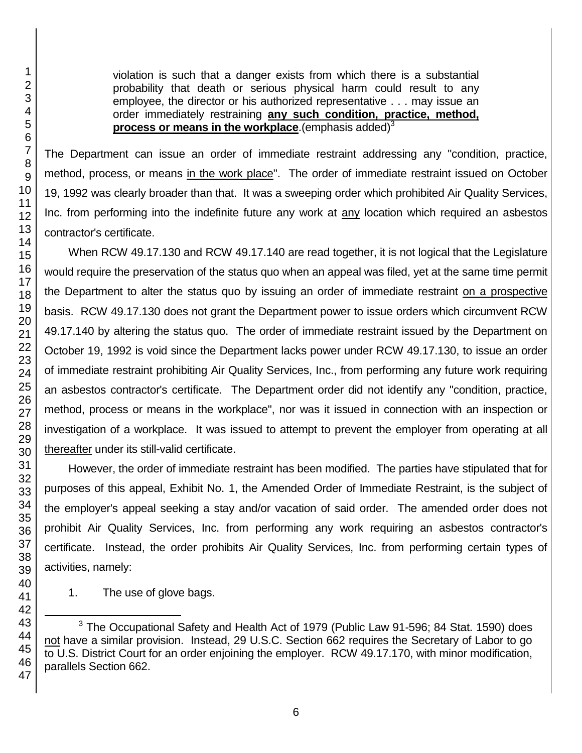violation is such that a danger exists from which there is a substantial probability that death or serious physical harm could result to any employee, the director or his authorized representative . . . may issue an order immediately restraining **any such condition, practice, method, process or means in the workplace**.(emphasis added)<sup>3</sup>

The Department can issue an order of immediate restraint addressing any "condition, practice, method, process, or means in the work place". The order of immediate restraint issued on October 19, 1992 was clearly broader than that. It was a sweeping order which prohibited Air Quality Services, Inc. from performing into the indefinite future any work at any location which required an asbestos contractor's certificate.

When RCW 49.17.130 and RCW 49.17.140 are read together, it is not logical that the Legislature would require the preservation of the status quo when an appeal was filed, yet at the same time permit the Department to alter the status quo by issuing an order of immediate restraint on a prospective basis. RCW 49.17.130 does not grant the Department power to issue orders which circumvent RCW 49.17.140 by altering the status quo. The order of immediate restraint issued by the Department on October 19, 1992 is void since the Department lacks power under RCW 49.17.130, to issue an order of immediate restraint prohibiting Air Quality Services, Inc., from performing any future work requiring an asbestos contractor's certificate. The Department order did not identify any "condition, practice, method, process or means in the workplace", nor was it issued in connection with an inspection or investigation of a workplace. It was issued to attempt to prevent the employer from operating at all thereafter under its still-valid certificate.

However, the order of immediate restraint has been modified. The parties have stipulated that for purposes of this appeal, Exhibit No. 1, the Amended Order of Immediate Restraint, is the subject of the employer's appeal seeking a stay and/or vacation of said order. The amended order does not prohibit Air Quality Services, Inc. from performing any work requiring an asbestos contractor's certificate. Instead, the order prohibits Air Quality Services, Inc. from performing certain types of activities, namely:

1. The use of glove bags.

 The Occupational Safety and Health Act of 1979 (Public Law 91-596; 84 Stat. 1590) does not have a similar provision. Instead, 29 U.S.C. Section 662 requires the Secretary of Labor to go to U.S. District Court for an order enjoining the employer. RCW 49.17.170, with minor modification, parallels Section 662.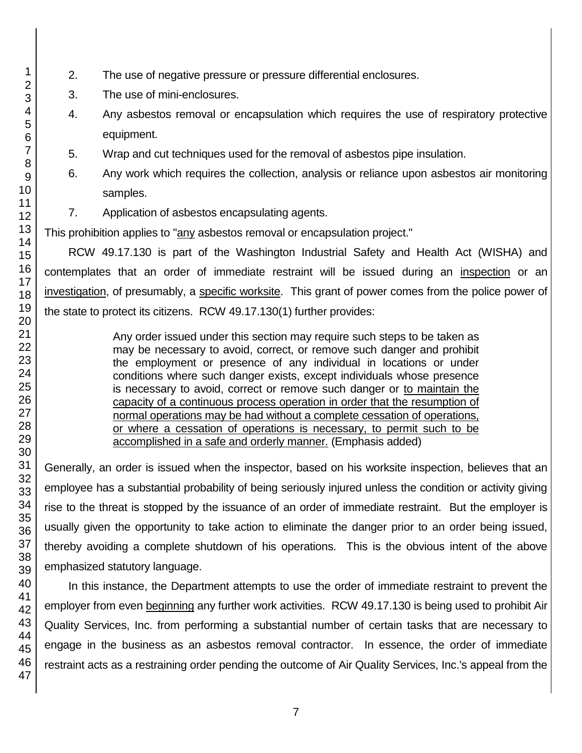- 2. The use of negative pressure or pressure differential enclosures.
- 3. The use of mini-enclosures.
- 4. Any asbestos removal or encapsulation which requires the use of respiratory protective equipment.
- 5. Wrap and cut techniques used for the removal of asbestos pipe insulation.
- 6. Any work which requires the collection, analysis or reliance upon asbestos air monitoring samples.
- 7. Application of asbestos encapsulating agents.

This prohibition applies to "any asbestos removal or encapsulation project."

RCW 49.17.130 is part of the Washington Industrial Safety and Health Act (WISHA) and contemplates that an order of immediate restraint will be issued during an inspection or an investigation, of presumably, a specific worksite. This grant of power comes from the police power of the state to protect its citizens. RCW 49.17.130(1) further provides:

> Any order issued under this section may require such steps to be taken as may be necessary to avoid, correct, or remove such danger and prohibit the employment or presence of any individual in locations or under conditions where such danger exists, except individuals whose presence is necessary to avoid, correct or remove such danger or to maintain the capacity of a continuous process operation in order that the resumption of normal operations may be had without a complete cessation of operations, or where a cessation of operations is necessary, to permit such to be accomplished in a safe and orderly manner. (Emphasis added)

Generally, an order is issued when the inspector, based on his worksite inspection, believes that an employee has a substantial probability of being seriously injured unless the condition or activity giving rise to the threat is stopped by the issuance of an order of immediate restraint. But the employer is usually given the opportunity to take action to eliminate the danger prior to an order being issued, thereby avoiding a complete shutdown of his operations. This is the obvious intent of the above emphasized statutory language.

In this instance, the Department attempts to use the order of immediate restraint to prevent the employer from even beginning any further work activities. RCW 49.17.130 is being used to prohibit Air Quality Services, Inc. from performing a substantial number of certain tasks that are necessary to engage in the business as an asbestos removal contractor. In essence, the order of immediate restraint acts as a restraining order pending the outcome of Air Quality Services, Inc.'s appeal from the

1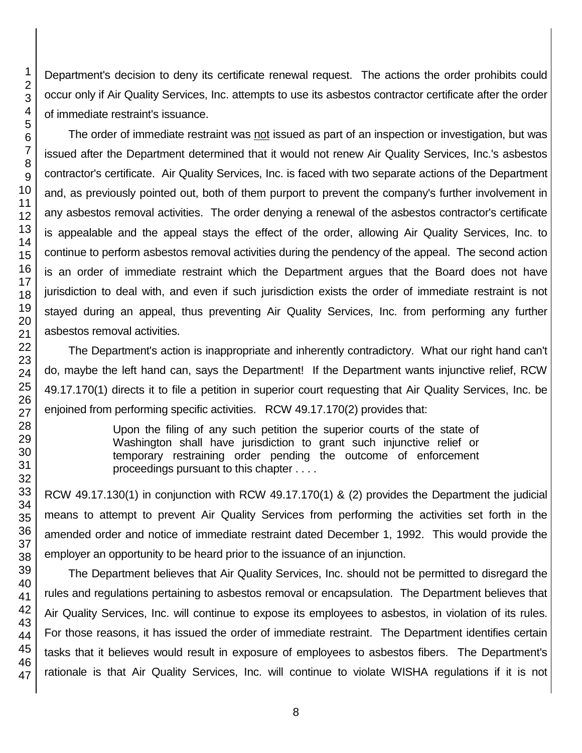45 46 47

1 2

Department's decision to deny its certificate renewal request. The actions the order prohibits could occur only if Air Quality Services, Inc. attempts to use its asbestos contractor certificate after the order of immediate restraint's issuance.

The order of immediate restraint was not issued as part of an inspection or investigation, but was issued after the Department determined that it would not renew Air Quality Services, Inc.'s asbestos contractor's certificate. Air Quality Services, Inc. is faced with two separate actions of the Department and, as previously pointed out, both of them purport to prevent the company's further involvement in any asbestos removal activities. The order denying a renewal of the asbestos contractor's certificate is appealable and the appeal stays the effect of the order, allowing Air Quality Services, Inc. to continue to perform asbestos removal activities during the pendency of the appeal. The second action is an order of immediate restraint which the Department argues that the Board does not have jurisdiction to deal with, and even if such jurisdiction exists the order of immediate restraint is not stayed during an appeal, thus preventing Air Quality Services, Inc. from performing any further asbestos removal activities.

The Department's action is inappropriate and inherently contradictory. What our right hand can't do, maybe the left hand can, says the Department! If the Department wants injunctive relief, RCW 49.17.170(1) directs it to file a petition in superior court requesting that Air Quality Services, Inc. be enjoined from performing specific activities. RCW 49.17.170(2) provides that:

> Upon the filing of any such petition the superior courts of the state of Washington shall have jurisdiction to grant such injunctive relief or temporary restraining order pending the outcome of enforcement proceedings pursuant to this chapter . . . .

RCW 49.17.130(1) in conjunction with RCW 49.17.170(1) & (2) provides the Department the judicial means to attempt to prevent Air Quality Services from performing the activities set forth in the amended order and notice of immediate restraint dated December 1, 1992. This would provide the employer an opportunity to be heard prior to the issuance of an injunction.

The Department believes that Air Quality Services, Inc. should not be permitted to disregard the rules and regulations pertaining to asbestos removal or encapsulation. The Department believes that Air Quality Services, Inc. will continue to expose its employees to asbestos, in violation of its rules. For those reasons, it has issued the order of immediate restraint. The Department identifies certain tasks that it believes would result in exposure of employees to asbestos fibers. The Department's rationale is that Air Quality Services, Inc. will continue to violate WISHA regulations if it is not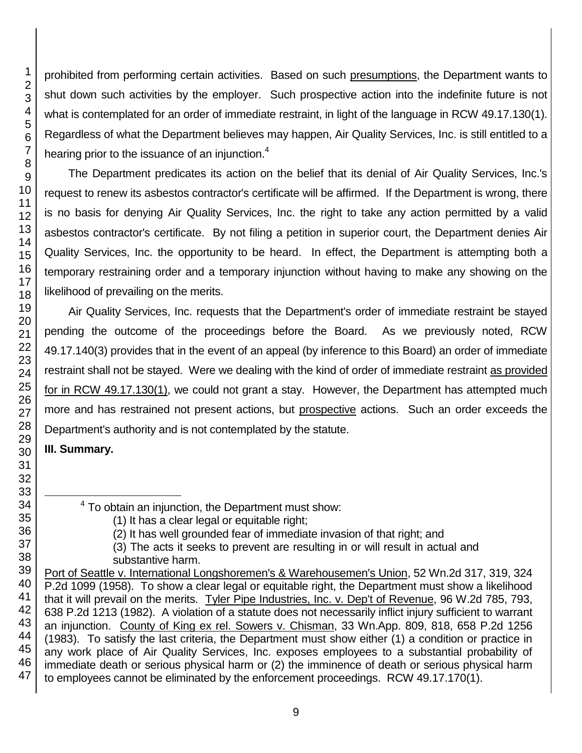prohibited from performing certain activities. Based on such presumptions, the Department wants to shut down such activities by the employer. Such prospective action into the indefinite future is not what is contemplated for an order of immediate restraint, in light of the language in RCW 49.17.130(1). Regardless of what the Department believes may happen, Air Quality Services, Inc. is still entitled to a hearing prior to the issuance of an injunction. $4$ 

The Department predicates its action on the belief that its denial of Air Quality Services, Inc.'s request to renew its asbestos contractor's certificate will be affirmed. If the Department is wrong, there is no basis for denying Air Quality Services, Inc. the right to take any action permitted by a valid asbestos contractor's certificate. By not filing a petition in superior court, the Department denies Air Quality Services, Inc. the opportunity to be heard. In effect, the Department is attempting both a temporary restraining order and a temporary injunction without having to make any showing on the likelihood of prevailing on the merits.

Air Quality Services, Inc. requests that the Department's order of immediate restraint be stayed pending the outcome of the proceedings before the Board. As we previously noted, RCW 49.17.140(3) provides that in the event of an appeal (by inference to this Board) an order of immediate restraint shall not be stayed. Were we dealing with the kind of order of immediate restraint as provided for in RCW 49.17.130(1), we could not grant a stay. However, the Department has attempted much more and has restrained not present actions, but prospective actions. Such an order exceeds the Department's authority and is not contemplated by the statute.

## **III. Summary.**

l

 $4$  To obtain an injunction, the Department must show:

- (3) The acts it seeks to prevent are resulting in or will result in actual and substantive harm.
- Port of Seattle v. International Longshoremen's & Warehousemen's Union, 52 Wn.2d 317, 319, 324 P.2d 1099 (1958). To show a clear legal or equitable right, the Department must show a likelihood that it will prevail on the merits. Tyler Pipe Industries, Inc. v. Dep't of Revenue, 96 W.2d 785, 793, 638 P.2d 1213 (1982). A violation of a statute does not necessarily inflict injury sufficient to warrant an injunction. County of King ex rel. Sowers v. Chisman, 33 Wn.App. 809, 818, 658 P.2d 1256 (1983). To satisfy the last criteria, the Department must show either (1) a condition or practice in any work place of Air Quality Services, Inc. exposes employees to a substantial probability of immediate death or serious physical harm or (2) the imminence of death or serious physical harm to employees cannot be eliminated by the enforcement proceedings. RCW 49.17.170(1).

<sup>(1)</sup> It has a clear legal or equitable right;

<sup>(2)</sup> It has well grounded fear of immediate invasion of that right; and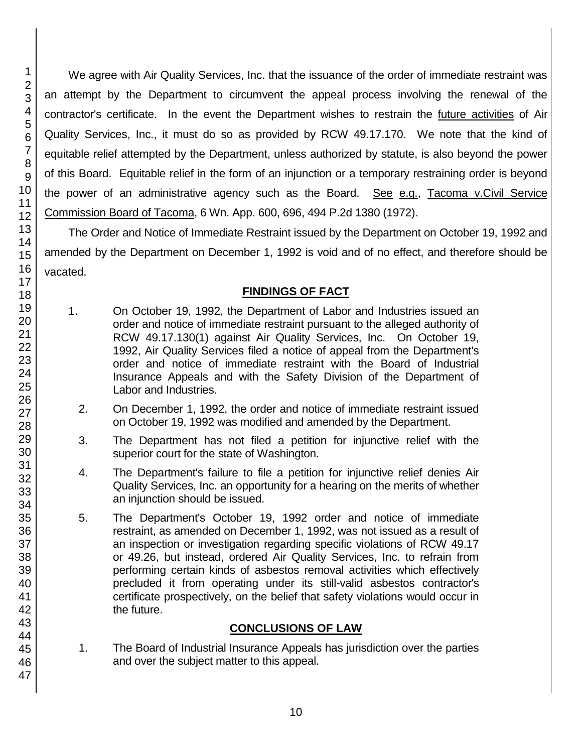We agree with Air Quality Services, Inc. that the issuance of the order of immediate restraint was an attempt by the Department to circumvent the appeal process involving the renewal of the contractor's certificate. In the event the Department wishes to restrain the *future activities* of Air Quality Services, Inc., it must do so as provided by RCW 49.17.170. We note that the kind of equitable relief attempted by the Department, unless authorized by statute, is also beyond the power of this Board. Equitable relief in the form of an injunction or a temporary restraining order is beyond the power of an administrative agency such as the Board. See e.g., Tacoma v.Civil Service Commission Board of Tacoma, 6 Wn. App. 600, 696, 494 P.2d 1380 (1972).

The Order and Notice of Immediate Restraint issued by the Department on October 19, 1992 and amended by the Department on December 1, 1992 is void and of no effect, and therefore should be vacated.

## **FINDINGS OF FACT**

- 1. On October 19, 1992, the Department of Labor and Industries issued an order and notice of immediate restraint pursuant to the alleged authority of RCW 49.17.130(1) against Air Quality Services, Inc. On October 19, 1992, Air Quality Services filed a notice of appeal from the Department's order and notice of immediate restraint with the Board of Industrial Insurance Appeals and with the Safety Division of the Department of Labor and Industries.
	- 2. On December 1, 1992, the order and notice of immediate restraint issued on October 19, 1992 was modified and amended by the Department.
	- 3. The Department has not filed a petition for injunctive relief with the superior court for the state of Washington.
	- 4. The Department's failure to file a petition for injunctive relief denies Air Quality Services, Inc. an opportunity for a hearing on the merits of whether an injunction should be issued.
	- 5. The Department's October 19, 1992 order and notice of immediate restraint, as amended on December 1, 1992, was not issued as a result of an inspection or investigation regarding specific violations of RCW 49.17 or 49.26, but instead, ordered Air Quality Services, Inc. to refrain from performing certain kinds of asbestos removal activities which effectively precluded it from operating under its still-valid asbestos contractor's certificate prospectively, on the belief that safety violations would occur in the future.

#### **CONCLUSIONS OF LAW**

1. The Board of Industrial Insurance Appeals has jurisdiction over the parties and over the subject matter to this appeal.